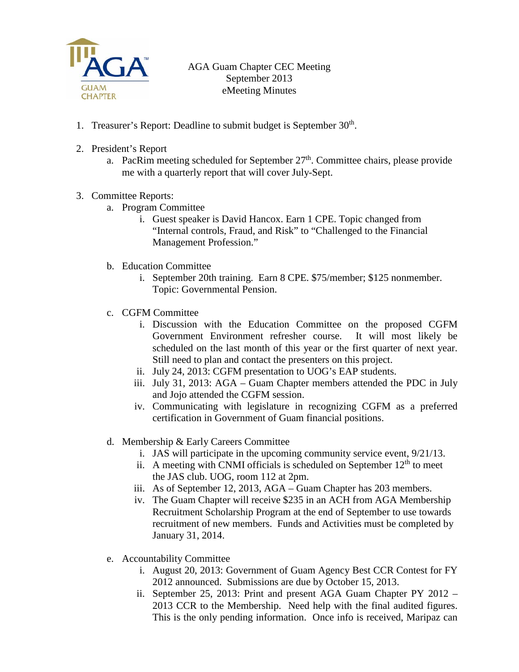

AGA Guam Chapter CEC Meeting September 2013 eMeeting Minutes

- 1. Treasurer's Report: Deadline to submit budget is September 30<sup>th</sup>.
- 2. President's Report
	- a. PacRim meeting scheduled for September 27<sup>th</sup>. Committee chairs, please provide me with a quarterly report that will cover July-Sept.
- 3. Committee Reports:
	- a. Program Committee
		- i. Guest speaker is David Hancox. Earn 1 CPE. Topic changed from "Internal controls, Fraud, and Risk" to "Challenged to the Financial Management Profession."
	- b. Education Committee
		- i. September 20th training. Earn 8 CPE. \$75/member; \$125 nonmember. Topic: Governmental Pension.
	- c. CGFM Committee
		- i. Discussion with the Education Committee on the proposed CGFM Government Environment refresher course. It will most likely be scheduled on the last month of this year or the first quarter of next year. Still need to plan and contact the presenters on this project.
		- ii. July 24, 2013: CGFM presentation to UOG's EAP students.
		- iii. July 31, 2013: AGA Guam Chapter members attended the PDC in July and Jojo attended the CGFM session.
		- iv. Communicating with legislature in recognizing CGFM as a preferred certification in Government of Guam financial positions.
	- d. Membership & Early Careers Committee
		- i. JAS will participate in the upcoming community service event, 9/21/13.
		- ii. A meeting with CNMI officials is scheduled on September  $12<sup>th</sup>$  to meet the JAS club. UOG, room 112 at 2pm.
		- iii. As of September 12, 2013, AGA Guam Chapter has 203 members.
		- iv. The Guam Chapter will receive \$235 in an ACH from AGA Membership Recruitment Scholarship Program at the end of September to use towards recruitment of new members. Funds and Activities must be completed by January 31, 2014.
	- e. Accountability Committee
		- i. August 20, 2013: Government of Guam Agency Best CCR Contest for FY 2012 announced. Submissions are due by October 15, 2013.
		- ii. September 25, 2013: Print and present AGA Guam Chapter PY 2012 2013 CCR to the Membership. Need help with the final audited figures. This is the only pending information. Once info is received, Maripaz can